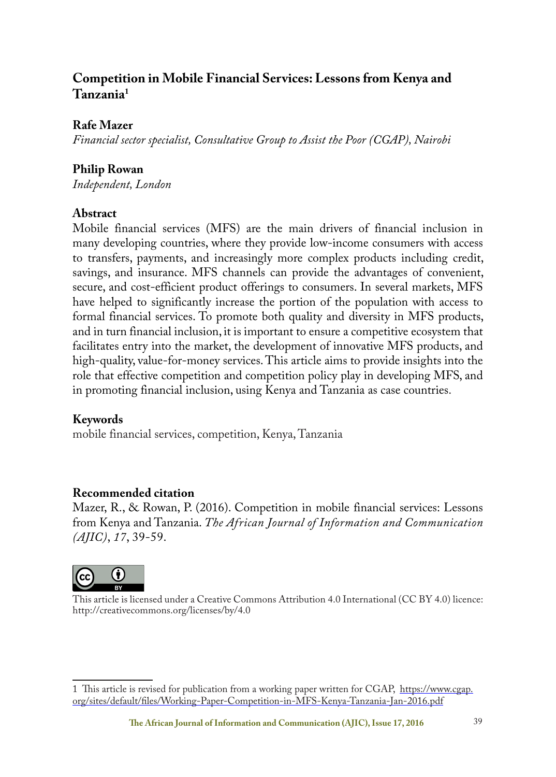# **Competition in Mobile Financial Services: Lessons from Kenya and Tanzania1**

# **Rafe Mazer**

*Financial sector specialist, Consultative Group to Assist the Poor (CGAP), Nairobi*

# **Philip Rowan**

*Independent, London*

# **Abstract**

Mobile financial services (MFS) are the main drivers of financial inclusion in many developing countries, where they provide low-income consumers with access to transfers, payments, and increasingly more complex products including credit, savings, and insurance. MFS channels can provide the advantages of convenient, secure, and cost-efficient product offerings to consumers. In several markets, MFS have helped to significantly increase the portion of the population with access to formal financial services. To promote both quality and diversity in MFS products, and in turn financial inclusion, it is important to ensure a competitive ecosystem that facilitates entry into the market, the development of innovative MFS products, and high-quality, value-for-money services. This article aims to provide insights into the role that effective competition and competition policy play in developing MFS, and in promoting financial inclusion, using Kenya and Tanzania as case countries.

# **Keywords**

mobile financial services, competition, Kenya, Tanzania

# **Recommended citation**

Mazer, R., & Rowan, P. (2016). Competition in mobile financial services: Lessons from Kenya and Tanzania. *The African Journal of Information and Communication (AJIC)*, *17*, 39-59.



This article is licensed under a Creative Commons Attribution 4.0 International (CC BY 4.0) licence: http://creativecommons.org/licenses/by/4.0

<sup>1</sup> This article is revised for publication from a working paper written for CGAP, https://www.cgap. org/sites/default/files/Working-Paper-Competition-in-MFS-Kenya-Tanzania-Jan-2016.pdf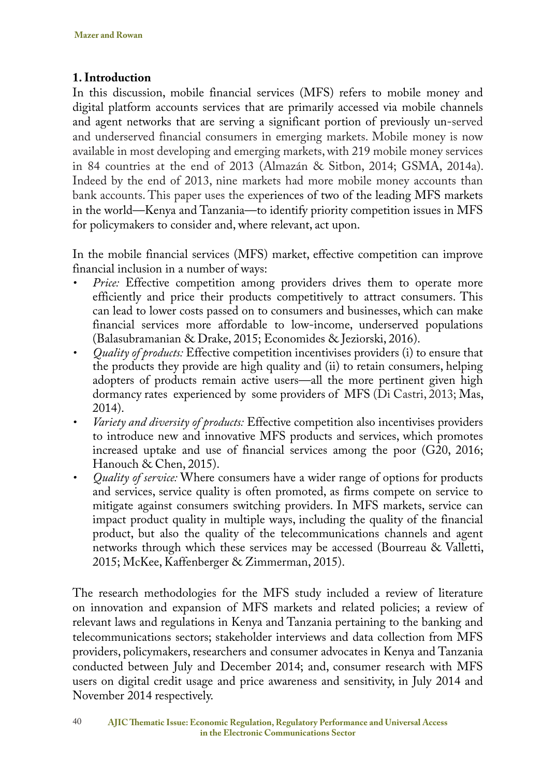# **1. Introduction**

In this discussion, mobile financial services (MFS) refers to mobile money and digital platform accounts services that are primarily accessed via mobile channels and agent networks that are serving a significant portion of previously un-served and underserved financial consumers in emerging markets. Mobile money is now available in most developing and emerging markets, with 219 mobile money services in 84 countries at the end of 2013 (Almazán & Sitbon, 2014; GSMA, 2014a). Indeed by the end of 2013, nine markets had more mobile money accounts than bank accounts. This paper uses the experiences of two of the leading MFS markets in the world—Kenya and Tanzania—to identify priority competition issues in MFS for policymakers to consider and, where relevant, act upon.

In the mobile financial services (MFS) market, effective competition can improve financial inclusion in a number of ways:

- *Price:* Effective competition among providers drives them to operate more efficiently and price their products competitively to attract consumers. This can lead to lower costs passed on to consumers and businesses, which can make financial services more affordable to low-income, underserved populations (Balasubramanian & Drake, 2015; Economides & Jeziorski, 2016).
- *• Quality of products:* Effective competition incentivises providers (i) to ensure that the products they provide are high quality and (ii) to retain consumers, helping adopters of products remain active users—all the more pertinent given high dormancy rates experienced by some providers of MFS (Di Castri, 2013; Mas, 2014).
- *• Variety and diversity of products:* Effective competition also incentivises providers to introduce new and innovative MFS products and services, which promotes increased uptake and use of financial services among the poor (G20, 2016; Hanouch & Chen, 2015).
- *• Quality of service:* Where consumers have a wider range of options for products and services, service quality is often promoted, as firms compete on service to mitigate against consumers switching providers. In MFS markets, service can impact product quality in multiple ways, including the quality of the financial product, but also the quality of the telecommunications channels and agent networks through which these services may be accessed (Bourreau & Valletti, 2015; McKee, Kaffenberger & Zimmerman, 2015).

The research methodologies for the MFS study included a review of literature on innovation and expansion of MFS markets and related policies; a review of relevant laws and regulations in Kenya and Tanzania pertaining to the banking and telecommunications sectors; stakeholder interviews and data collection from MFS providers, policymakers, researchers and consumer advocates in Kenya and Tanzania conducted between July and December 2014; and, consumer research with MFS users on digital credit usage and price awareness and sensitivity, in July 2014 and November 2014 respectively.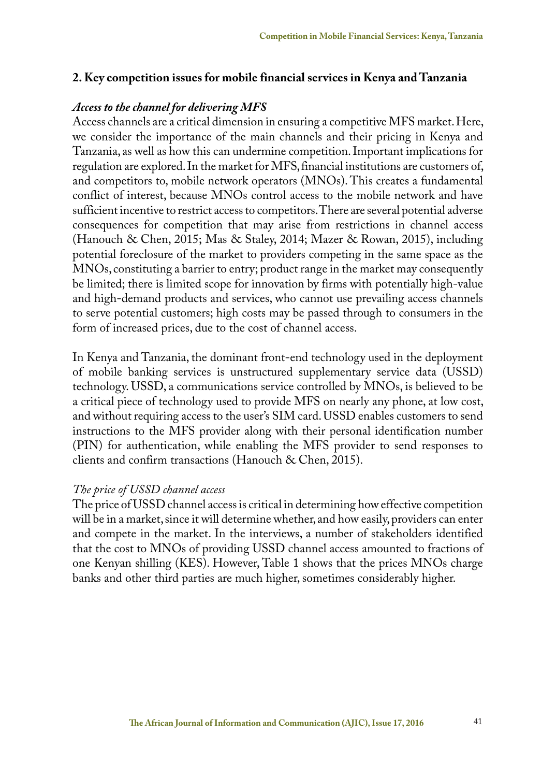#### **2. Key competition issues for mobile financial services in Kenya and Tanzania**

#### *Access to the channel for delivering MFS*

Access channels are a critical dimension in ensuring a competitive MFS market. Here, we consider the importance of the main channels and their pricing in Kenya and Tanzania, as well as how this can undermine competition. Important implications for regulation are explored. In the market for MFS, financial institutions are customers of, and competitors to, mobile network operators (MNOs). This creates a fundamental conflict of interest, because MNOs control access to the mobile network and have sufficient incentive to restrict access to competitors. There are several potential adverse consequences for competition that may arise from restrictions in channel access (Hanouch & Chen, 2015; Mas & Staley, 2014; Mazer & Rowan, 2015), including potential foreclosure of the market to providers competing in the same space as the MNOs, constituting a barrier to entry; product range in the market may consequently be limited; there is limited scope for innovation by firms with potentially high-value and high-demand products and services, who cannot use prevailing access channels to serve potential customers; high costs may be passed through to consumers in the form of increased prices, due to the cost of channel access.

In Kenya and Tanzania, the dominant front-end technology used in the deployment of mobile banking services is unstructured supplementary service data (USSD) technology. USSD, a communications service controlled by MNOs, is believed to be a critical piece of technology used to provide MFS on nearly any phone, at low cost, and without requiring access to the user's SIM card. USSD enables customers to send instructions to the MFS provider along with their personal identification number (PIN) for authentication, while enabling the MFS provider to send responses to clients and confirm transactions (Hanouch & Chen, 2015).

#### *The price of USSD channel access*

The price of USSD channel access is critical in determining how effective competition will be in a market, since it will determine whether, and how easily, providers can enter and compete in the market. In the interviews, a number of stakeholders identified that the cost to MNOs of providing USSD channel access amounted to fractions of one Kenyan shilling (KES). However, Table 1 shows that the prices MNOs charge banks and other third parties are much higher, sometimes considerably higher.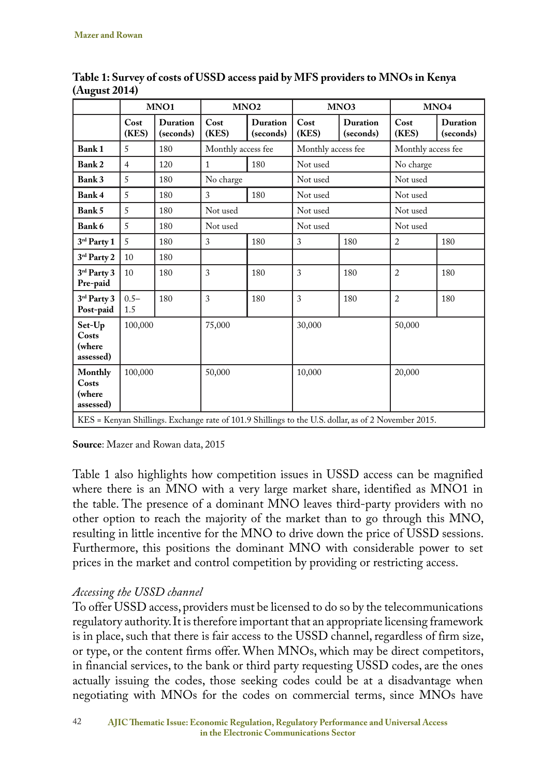|                                                                                                     | MNO1           |                              | MNO <sub>2</sub>   |                              | MNO3               |                       | MNO <sub>4</sub>   |                       |
|-----------------------------------------------------------------------------------------------------|----------------|------------------------------|--------------------|------------------------------|--------------------|-----------------------|--------------------|-----------------------|
|                                                                                                     | Cost<br>(KES)  | <b>Duration</b><br>(seconds) | Cost<br>(KES)      | <b>Duration</b><br>(seconds) | Cost<br>(KES)      | Duration<br>(seconds) | Cost<br>(KES)      | Duration<br>(seconds) |
| <b>Bank1</b>                                                                                        | 5              | 180                          | Monthly access fee |                              | Monthly access fee |                       | Monthly access fee |                       |
| Bank 2                                                                                              | $\overline{4}$ | 120                          | $\mathbf{1}$       | 180                          | Not used           |                       | No charge          |                       |
| Bank 3                                                                                              | 5              | 180                          | No charge          |                              | Not used           |                       | Not used           |                       |
| Bank 4                                                                                              | 5              | 180                          | 3                  | 180                          | Not used           |                       | Not used           |                       |
| Bank 5                                                                                              | 5              | 180                          | Not used           |                              | Not used           |                       | Not used           |                       |
| Bank 6                                                                                              | 5              | 180                          | Not used           |                              | Not used           |                       | Not used           |                       |
| 3rd Party 1                                                                                         | 5              | 180                          | 3                  | 180                          | 3                  | 180                   | $\overline{2}$     | 180                   |
| 3rd Party 2                                                                                         | 10             | 180                          |                    |                              |                    |                       |                    |                       |
| 3rd Party 3<br>Pre-paid                                                                             | 10             | 180                          | 3                  | 180                          | 3                  | 180                   | $\overline{2}$     | 180                   |
| 3rd Party 3<br>Post-paid                                                                            | $0.5 -$<br>1.5 | 180                          | 3                  | 180                          | 3                  | 180                   | $\overline{2}$     | 180                   |
| Set-Up<br>Costs<br>(where<br>assessed)                                                              | 100,000        |                              | 75,000             |                              | 30,000             |                       | 50,000             |                       |
| Monthly<br>Costs<br>(where<br>assessed)                                                             | 100,000        |                              | 50,000             |                              | 10,000             |                       | 20,000             |                       |
| KES = Kenyan Shillings. Exchange rate of 101.9 Shillings to the U.S. dollar, as of 2 November 2015. |                |                              |                    |                              |                    |                       |                    |                       |

**Table 1: Survey of costs of USSD access paid by MFS providers to MNOs in Kenya (August 2014)**

**Source**: Mazer and Rowan data, 2015

Table 1 also highlights how competition issues in USSD access can be magnified where there is an MNO with a very large market share, identified as MNO1 in the table. The presence of a dominant MNO leaves third-party providers with no other option to reach the majority of the market than to go through this MNO, resulting in little incentive for the MNO to drive down the price of USSD sessions. Furthermore, this positions the dominant MNO with considerable power to set prices in the market and control competition by providing or restricting access.

# *Accessing the USSD channel*

To offer USSD access, providers must be licensed to do so by the telecommunications regulatory authority. It is therefore important that an appropriate licensing framework is in place, such that there is fair access to the USSD channel, regardless of firm size, or type, or the content firms offer. When MNOs, which may be direct competitors, in financial services, to the bank or third party requesting USSD codes, are the ones actually issuing the codes, those seeking codes could be at a disadvantage when negotiating with MNOs for the codes on commercial terms, since MNOs have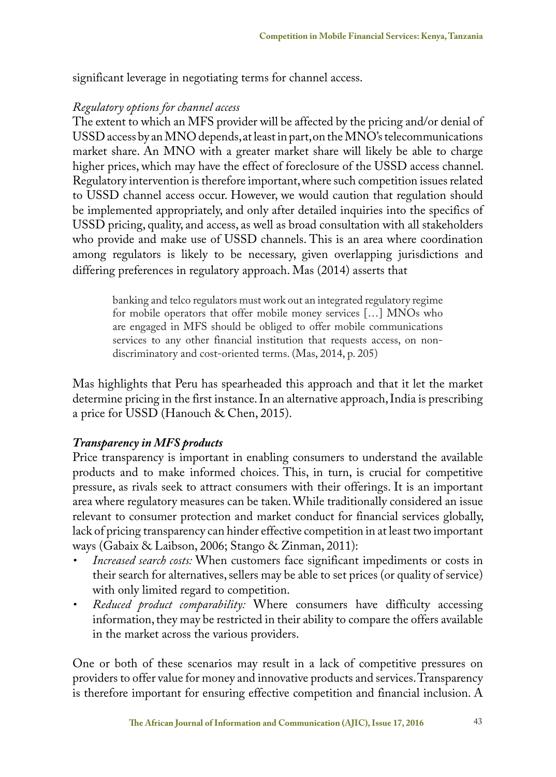significant leverage in negotiating terms for channel access.

#### *Regulatory options for channel access*

The extent to which an MFS provider will be affected by the pricing and/or denial of USSD access by an MNO depends, at least in part, on the MNO's telecommunications market share. An MNO with a greater market share will likely be able to charge higher prices, which may have the effect of foreclosure of the USSD access channel. Regulatory intervention is therefore important, where such competition issues related to USSD channel access occur. However, we would caution that regulation should be implemented appropriately, and only after detailed inquiries into the specifics of USSD pricing, quality, and access, as well as broad consultation with all stakeholders who provide and make use of USSD channels. This is an area where coordination among regulators is likely to be necessary, given overlapping jurisdictions and differing preferences in regulatory approach. Mas (2014) asserts that

banking and telco regulators must work out an integrated regulatory regime for mobile operators that offer mobile money services […] MNOs who are engaged in MFS should be obliged to offer mobile communications services to any other financial institution that requests access, on nondiscriminatory and cost-oriented terms. (Mas, 2014, p. 205)

Mas highlights that Peru has spearheaded this approach and that it let the market determine pricing in the first instance. In an alternative approach, India is prescribing a price for USSD (Hanouch & Chen, 2015).

#### *Transparency in MFS products*

Price transparency is important in enabling consumers to understand the available products and to make informed choices. This, in turn, is crucial for competitive pressure, as rivals seek to attract consumers with their offerings. It is an important area where regulatory measures can be taken. While traditionally considered an issue relevant to consumer protection and market conduct for financial services globally, lack of pricing transparency can hinder effective competition in at least two important ways (Gabaix & Laibson, 2006; Stango & Zinman, 2011):

- *• Increased search costs:* When customers face significant impediments or costs in their search for alternatives, sellers may be able to set prices (or quality of service) with only limited regard to competition.
- *• Reduced product comparability:* Where consumers have difficulty accessing information, they may be restricted in their ability to compare the offers available in the market across the various providers.

One or both of these scenarios may result in a lack of competitive pressures on providers to offer value for money and innovative products and services. Transparency is therefore important for ensuring effective competition and financial inclusion. A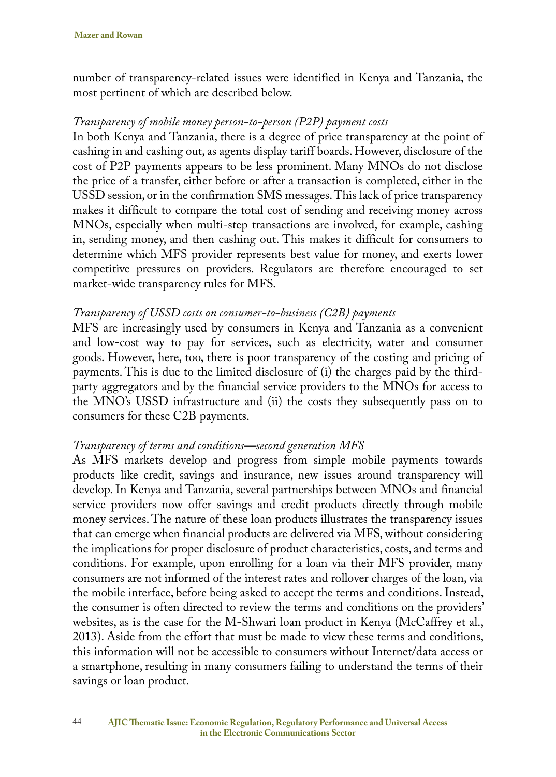number of transparency-related issues were identified in Kenya and Tanzania, the most pertinent of which are described below.

#### *Transparency of mobile money person-to-person (P2P) payment costs*

In both Kenya and Tanzania, there is a degree of price transparency at the point of cashing in and cashing out, as agents display tariff boards. However, disclosure of the cost of P2P payments appears to be less prominent. Many MNOs do not disclose the price of a transfer, either before or after a transaction is completed, either in the USSD session, or in the confirmation SMS messages. This lack of price transparency makes it difficult to compare the total cost of sending and receiving money across MNOs, especially when multi-step transactions are involved, for example, cashing in, sending money, and then cashing out. This makes it difficult for consumers to determine which MFS provider represents best value for money, and exerts lower competitive pressures on providers. Regulators are therefore encouraged to set market-wide transparency rules for MFS.

#### *Transparency of USSD costs on consumer-to-business (C2B) payments*

MFS are increasingly used by consumers in Kenya and Tanzania as a convenient and low-cost way to pay for services, such as electricity, water and consumer goods. However, here, too, there is poor transparency of the costing and pricing of payments. This is due to the limited disclosure of (i) the charges paid by the thirdparty aggregators and by the financial service providers to the MNOs for access to the MNO's USSD infrastructure and (ii) the costs they subsequently pass on to consumers for these C2B payments.

#### *Transparency of terms and conditions—second generation MFS*

As MFS markets develop and progress from simple mobile payments towards products like credit, savings and insurance, new issues around transparency will develop. In Kenya and Tanzania, several partnerships between MNOs and financial service providers now offer savings and credit products directly through mobile money services. The nature of these loan products illustrates the transparency issues that can emerge when financial products are delivered via MFS, without considering the implications for proper disclosure of product characteristics, costs, and terms and conditions. For example, upon enrolling for a loan via their MFS provider, many consumers are not informed of the interest rates and rollover charges of the loan, via the mobile interface, before being asked to accept the terms and conditions. Instead, the consumer is often directed to review the terms and conditions on the providers' websites, as is the case for the M-Shwari loan product in Kenya (McCaffrey et al., 2013). Aside from the effort that must be made to view these terms and conditions, this information will not be accessible to consumers without Internet/data access or a smartphone, resulting in many consumers failing to understand the terms of their savings or loan product.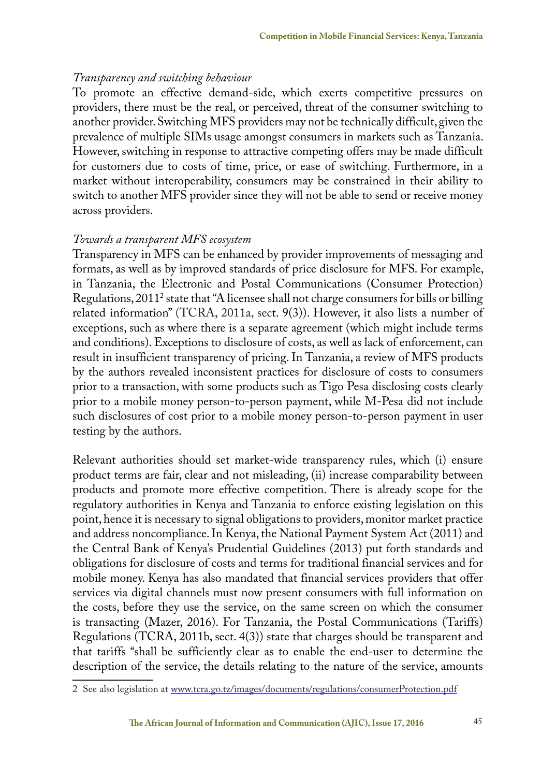#### *Transparency and switching behaviour*

To promote an effective demand-side, which exerts competitive pressures on providers, there must be the real, or perceived, threat of the consumer switching to another provider. Switching MFS providers may not be technically difficult, given the prevalence of multiple SIMs usage amongst consumers in markets such as Tanzania. However, switching in response to attractive competing offers may be made difficult for customers due to costs of time, price, or ease of switching. Furthermore, in a market without interoperability, consumers may be constrained in their ability to switch to another MFS provider since they will not be able to send or receive money across providers.

#### *Towards a transparent MFS ecosystem*

Transparency in MFS can be enhanced by provider improvements of messaging and formats, as well as by improved standards of price disclosure for MFS. For example, in Tanzania, the Electronic and Postal Communications (Consumer Protection) Regulations, 20112 state that "A licensee shall not charge consumers for bills or billing related information" (TCRA, 2011a, sect. 9(3)). However, it also lists a number of exceptions, such as where there is a separate agreement (which might include terms and conditions). Exceptions to disclosure of costs, as well as lack of enforcement, can result in insufficient transparency of pricing. In Tanzania, a review of MFS products by the authors revealed inconsistent practices for disclosure of costs to consumers prior to a transaction, with some products such as Tigo Pesa disclosing costs clearly prior to a mobile money person-to-person payment, while M-Pesa did not include such disclosures of cost prior to a mobile money person-to-person payment in user testing by the authors.

Relevant authorities should set market-wide transparency rules, which (i) ensure product terms are fair, clear and not misleading, (ii) increase comparability between products and promote more effective competition. There is already scope for the regulatory authorities in Kenya and Tanzania to enforce existing legislation on this point, hence it is necessary to signal obligations to providers, monitor market practice and address noncompliance. In Kenya, the National Payment System Act (2011) and the Central Bank of Kenya's Prudential Guidelines (2013) put forth standards and obligations for disclosure of costs and terms for traditional financial services and for mobile money. Kenya has also mandated that financial services providers that offer services via digital channels must now present consumers with full information on the costs, before they use the service, on the same screen on which the consumer is transacting (Mazer, 2016). For Tanzania, the Postal Communications (Tariffs) Regulations (TCRA, 2011b, sect. 4(3)) state that charges should be transparent and that tariffs "shall be sufficiently clear as to enable the end-user to determine the description of the service, the details relating to the nature of the service, amounts

<sup>2</sup> See also legislation at www.tcra.go.tz/images/documents/regulations/consumerProtection.pdf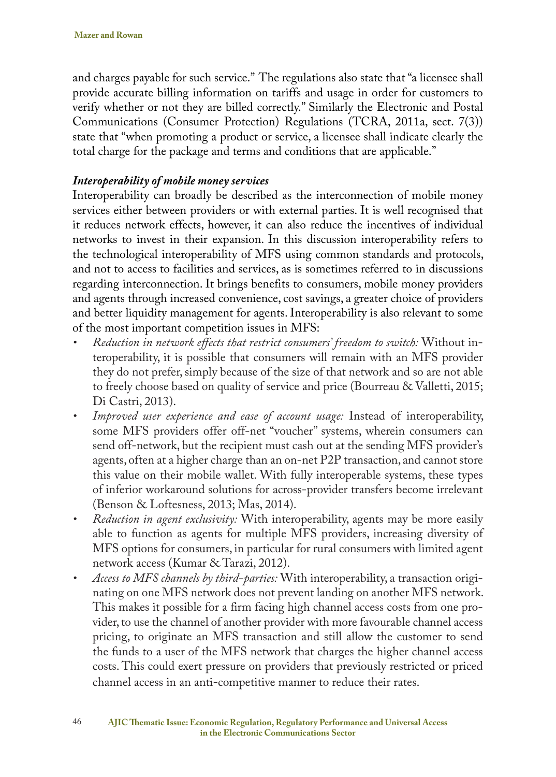and charges payable for such service." The regulations also state that "a licensee shall provide accurate billing information on tariffs and usage in order for customers to verify whether or not they are billed correctly." Similarly the Electronic and Postal Communications (Consumer Protection) Regulations (TCRA, 2011a, sect. 7(3)) state that "when promoting a product or service, a licensee shall indicate clearly the total charge for the package and terms and conditions that are applicable."

### *Interoperability of mobile money services*

Interoperability can broadly be described as the interconnection of mobile money services either between providers or with external parties. It is well recognised that it reduces network effects, however, it can also reduce the incentives of individual networks to invest in their expansion. In this discussion interoperability refers to the technological interoperability of MFS using common standards and protocols, and not to access to facilities and services, as is sometimes referred to in discussions regarding interconnection. It brings benefits to consumers, mobile money providers and agents through increased convenience, cost savings, a greater choice of providers and better liquidity management for agents. Interoperability is also relevant to some of the most important competition issues in MFS:

- *• Reduction in network effects that restrict consumers' freedom to switch:* Without interoperability, it is possible that consumers will remain with an MFS provider they do not prefer, simply because of the size of that network and so are not able to freely choose based on quality of service and price (Bourreau & Valletti, 2015; Di Castri, 2013).
- *• Improved user experience and ease of account usage:* Instead of interoperability, some MFS providers offer off-net "voucher" systems, wherein consumers can send off-network, but the recipient must cash out at the sending MFS provider's agents, often at a higher charge than an on-net P2P transaction, and cannot store this value on their mobile wallet. With fully interoperable systems, these types of inferior workaround solutions for across-provider transfers become irrelevant (Benson & Loftesness, 2013; Mas, 2014).
- *• Reduction in agent exclusivity:* With interoperability, agents may be more easily able to function as agents for multiple MFS providers, increasing diversity of MFS options for consumers, in particular for rural consumers with limited agent network access (Kumar & Tarazi, 2012).
- *• Access to MFS channels by third-parties:* With interoperability, a transaction originating on one MFS network does not prevent landing on another MFS network. This makes it possible for a firm facing high channel access costs from one provider, to use the channel of another provider with more favourable channel access pricing, to originate an MFS transaction and still allow the customer to send the funds to a user of the MFS network that charges the higher channel access costs. This could exert pressure on providers that previously restricted or priced channel access in an anti-competitive manner to reduce their rates.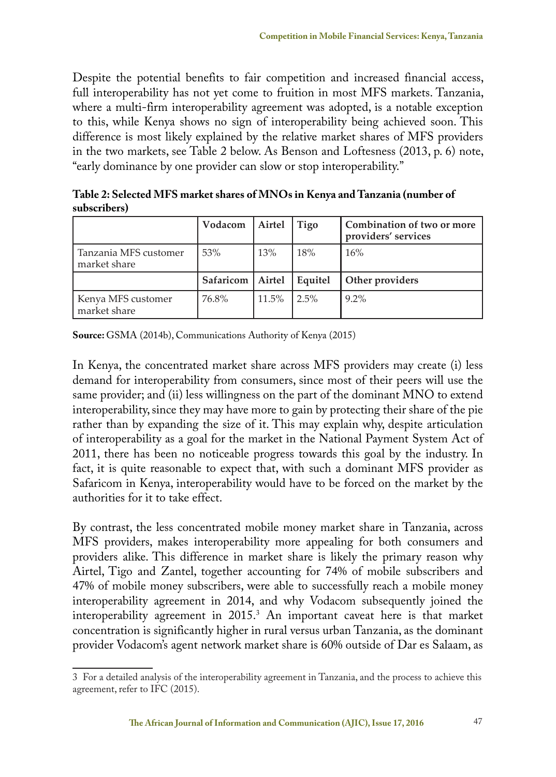Despite the potential benefits to fair competition and increased financial access, full interoperability has not yet come to fruition in most MFS markets. Tanzania, where a multi-firm interoperability agreement was adopted, is a notable exception to this, while Kenya shows no sign of interoperability being achieved soon. This difference is most likely explained by the relative market shares of MFS providers in the two markets, see Table 2 below. As Benson and Loftesness (2013, p. 6) note, "early dominance by one provider can slow or stop interoperability."

**Table 2: Selected MFS market shares of MNOs in Kenya and Tanzania (number of subscribers)**

|                                       | Vodacom            | Airtel | Tigo    | Combination of two or more<br>providers' services |
|---------------------------------------|--------------------|--------|---------|---------------------------------------------------|
| Tanzania MFS customer<br>market share | 53%                | 13%    | 18%     | 16%                                               |
|                                       | Safaricom   Airtel |        | Equitel | Other providers                                   |
| Kenya MFS customer<br>market share    | 76.8%              | 11.5%  | $2.5\%$ | $9.2\%$                                           |

**Source:** GSMA (2014b), Communications Authority of Kenya (2015)

In Kenya, the concentrated market share across MFS providers may create (i) less demand for interoperability from consumers, since most of their peers will use the same provider; and (ii) less willingness on the part of the dominant MNO to extend interoperability, since they may have more to gain by protecting their share of the pie rather than by expanding the size of it. This may explain why, despite articulation of interoperability as a goal for the market in the National Payment System Act of 2011, there has been no noticeable progress towards this goal by the industry. In fact, it is quite reasonable to expect that, with such a dominant MFS provider as Safaricom in Kenya, interoperability would have to be forced on the market by the authorities for it to take effect.

By contrast, the less concentrated mobile money market share in Tanzania, across MFS providers, makes interoperability more appealing for both consumers and providers alike. This difference in market share is likely the primary reason why Airtel, Tigo and Zantel, together accounting for 74% of mobile subscribers and 47% of mobile money subscribers, were able to successfully reach a mobile money interoperability agreement in 2014, and why Vodacom subsequently joined the interoperability agreement in 2015.3 An important caveat here is that market concentration is significantly higher in rural versus urban Tanzania, as the dominant provider Vodacom's agent network market share is 60% outside of Dar es Salaam, as

<sup>3</sup> For a detailed analysis of the interoperability agreement in Tanzania, and the process to achieve this agreement, refer to IFC (2015).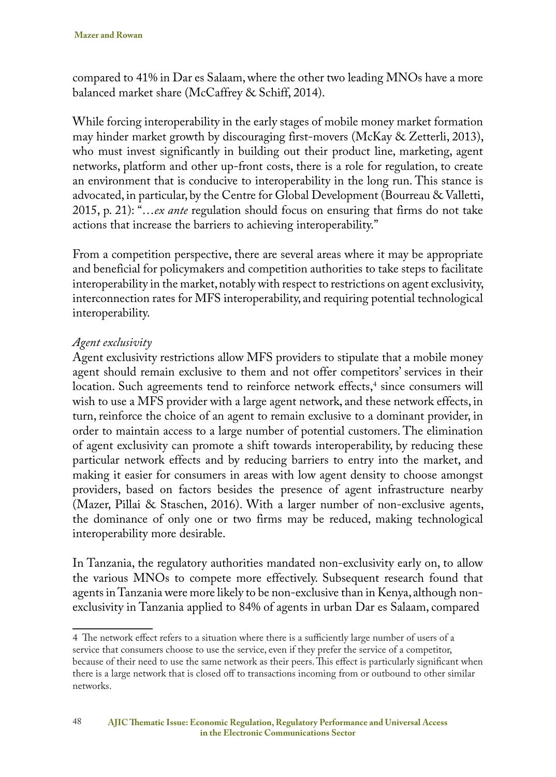compared to 41% in Dar es Salaam, where the other two leading MNOs have a more balanced market share (McCaffrey & Schiff, 2014).

While forcing interoperability in the early stages of mobile money market formation may hinder market growth by discouraging first-movers (McKay & Zetterli, 2013), who must invest significantly in building out their product line, marketing, agent networks, platform and other up-front costs, there is a role for regulation, to create an environment that is conducive to interoperability in the long run. This stance is advocated, in particular, by the Centre for Global Development (Bourreau & Valletti, 2015, p. 21): "…*ex ante* regulation should focus on ensuring that firms do not take actions that increase the barriers to achieving interoperability."

From a competition perspective, there are several areas where it may be appropriate and beneficial for policymakers and competition authorities to take steps to facilitate interoperability in the market, notably with respect to restrictions on agent exclusivity, interconnection rates for MFS interoperability, and requiring potential technological interoperability.

#### *Agent exclusivity*

Agent exclusivity restrictions allow MFS providers to stipulate that a mobile money agent should remain exclusive to them and not offer competitors' services in their location. Such agreements tend to reinforce network effects,<sup>4</sup> since consumers will wish to use a MFS provider with a large agent network, and these network effects, in turn, reinforce the choice of an agent to remain exclusive to a dominant provider, in order to maintain access to a large number of potential customers. The elimination of agent exclusivity can promote a shift towards interoperability, by reducing these particular network effects and by reducing barriers to entry into the market, and making it easier for consumers in areas with low agent density to choose amongst providers, based on factors besides the presence of agent infrastructure nearby (Mazer, Pillai & Staschen, 2016). With a larger number of non-exclusive agents, the dominance of only one or two firms may be reduced, making technological interoperability more desirable.

In Tanzania, the regulatory authorities mandated non-exclusivity early on, to allow the various MNOs to compete more effectively. Subsequent research found that agents in Tanzania were more likely to be non-exclusive than in Kenya, although nonexclusivity in Tanzania applied to 84% of agents in urban Dar es Salaam, compared

<sup>4</sup> The network effect refers to a situation where there is a sufficiently large number of users of a service that consumers choose to use the service, even if they prefer the service of a competitor, because of their need to use the same network as their peers. This effect is particularly significant when there is a large network that is closed off to transactions incoming from or outbound to other similar networks.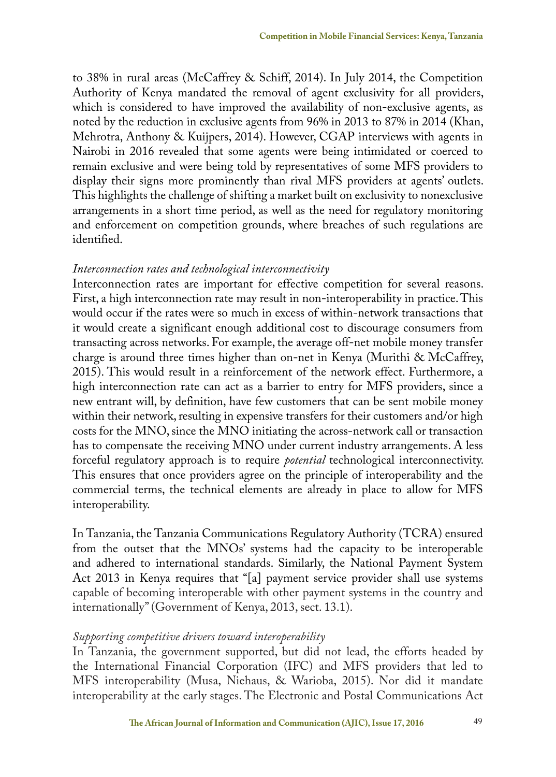to 38% in rural areas (McCaffrey & Schiff, 2014). In July 2014, the Competition Authority of Kenya mandated the removal of agent exclusivity for all providers, which is considered to have improved the availability of non-exclusive agents, as noted by the reduction in exclusive agents from 96% in 2013 to 87% in 2014 (Khan, Mehrotra, Anthony & Kuijpers, 2014). However, CGAP interviews with agents in Nairobi in 2016 revealed that some agents were being intimidated or coerced to remain exclusive and were being told by representatives of some MFS providers to display their signs more prominently than rival MFS providers at agents' outlets. This highlights the challenge of shifting a market built on exclusivity to nonexclusive arrangements in a short time period, as well as the need for regulatory monitoring and enforcement on competition grounds, where breaches of such regulations are identified.

#### *Interconnection rates and technological interconnectivity*

Interconnection rates are important for effective competition for several reasons. First, a high interconnection rate may result in non-interoperability in practice. This would occur if the rates were so much in excess of within-network transactions that it would create a significant enough additional cost to discourage consumers from transacting across networks. For example, the average off-net mobile money transfer charge is around three times higher than on-net in Kenya (Murithi & McCaffrey, 2015). This would result in a reinforcement of the network effect. Furthermore, a high interconnection rate can act as a barrier to entry for MFS providers, since a new entrant will, by definition, have few customers that can be sent mobile money within their network, resulting in expensive transfers for their customers and/or high costs for the MNO, since the MNO initiating the across-network call or transaction has to compensate the receiving MNO under current industry arrangements. A less forceful regulatory approach is to require *potential* technological interconnectivity. This ensures that once providers agree on the principle of interoperability and the commercial terms, the technical elements are already in place to allow for MFS interoperability.

In Tanzania, the Tanzania Communications Regulatory Authority (TCRA) ensured from the outset that the MNOs' systems had the capacity to be interoperable and adhered to international standards. Similarly, the National Payment System Act 2013 in Kenya requires that "[a] payment service provider shall use systems capable of becoming interoperable with other payment systems in the country and internationally" (Government of Kenya, 2013, sect. 13.1).

#### *Supporting competitive drivers toward interoperability*

In Tanzania, the government supported, but did not lead, the efforts headed by the International Financial Corporation (IFC) and MFS providers that led to MFS interoperability (Musa, Niehaus, & Warioba, 2015). Nor did it mandate interoperability at the early stages. The Electronic and Postal Communications Act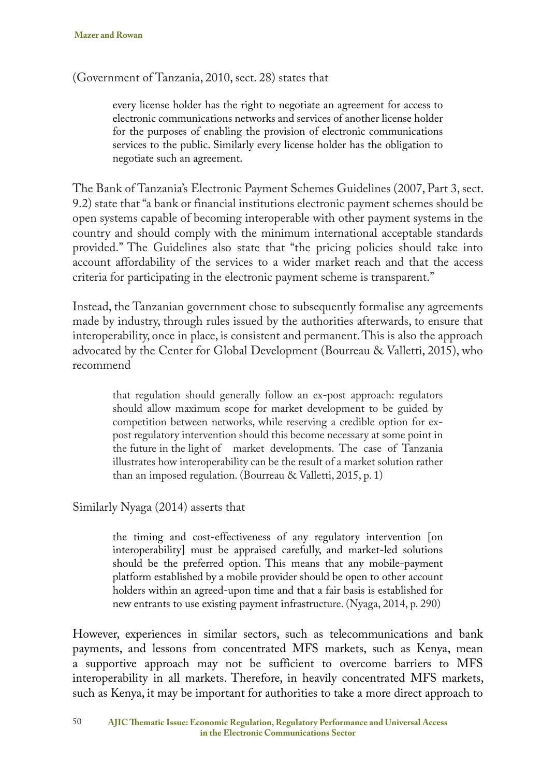(Government of Tanzania, 2010, sect. 28) states that

every license holder has the right to negotiate an agreement for access to electronic communications networks and services of another license holder for the purposes of enabling the provision of electronic communications services to the public. Similarly every license holder has the obligation to negotiate such an agreement.

The Bank of Tanzania's Electronic Payment Schemes Guidelines (2007, Part 3, sect. 9.2) state that "a bank or financial institutions electronic payment schemes should be open systems capable of becoming interoperable with other payment systems in the country and should comply with the minimum international acceptable standards provided." The Guidelines also state that "the pricing policies should take into account affordability of the services to a wider market reach and that the access criteria for participating in the electronic payment scheme is transparent."

Instead, the Tanzanian government chose to subsequently formalise any agreements made by industry, through rules issued by the authorities afterwards, to ensure that interoperability, once in place, is consistent and permanent. This is also the approach advocated by the Center for Global Development (Bourreau & Valletti, 2015), who recommend

that regulation should generally follow an ex-post approach: regulators should allow maximum scope for market development to be guided by competition between networks, while reserving a credible option for expost regulatory intervention should this become necessary at some point in the future in the light of market developments. The case of Tanzania illustrates how interoperability can be the result of a market solution rather than an imposed regulation. (Bourreau & Valletti, 2015, p. 1)

Similarly Nyaga (2014) asserts that

the timing and cost-effectiveness of any regulatory intervention [on interoperability] must be appraised carefully, and market-led solutions should be the preferred option. This means that any mobile-payment platform established by a mobile provider should be open to other account holders within an agreed-upon time and that a fair basis is established for new entrants to use existing payment infrastructure. (Nyaga, 2014, p. 290)

However, experiences in similar sectors, such as telecommunications and bank payments, and lessons from concentrated MFS markets, such as Kenya, mean a supportive approach may not be sufficient to overcome barriers to MFS interoperability in all markets. Therefore, in heavily concentrated MFS markets, such as Kenya, it may be important for authorities to take a more direct approach to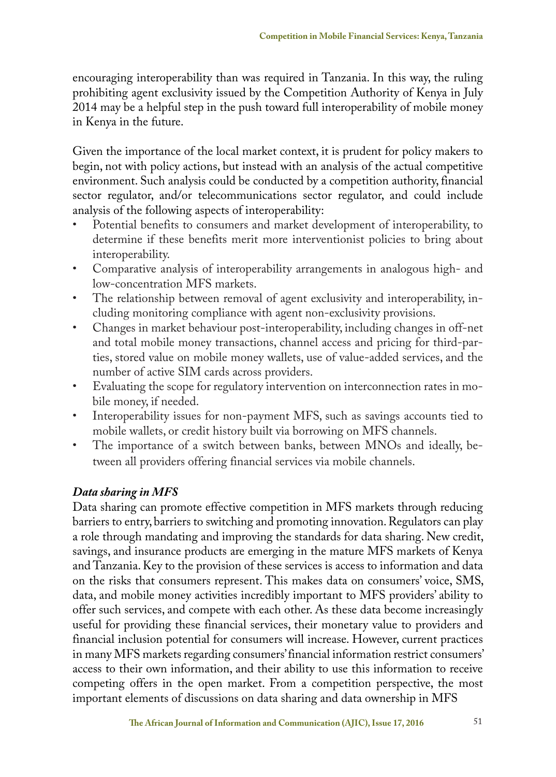encouraging interoperability than was required in Tanzania. In this way, the ruling prohibiting agent exclusivity issued by the Competition Authority of Kenya in July 2014 may be a helpful step in the push toward full interoperability of mobile money in Kenya in the future.

Given the importance of the local market context, it is prudent for policy makers to begin, not with policy actions, but instead with an analysis of the actual competitive environment. Such analysis could be conducted by a competition authority, financial sector regulator, and/or telecommunications sector regulator, and could include analysis of the following aspects of interoperability:

- Potential benefits to consumers and market development of interoperability, to determine if these benefits merit more interventionist policies to bring about interoperability.
- Comparative analysis of interoperability arrangements in analogous high- and low-concentration MFS markets.
- The relationship between removal of agent exclusivity and interoperability, including monitoring compliance with agent non-exclusivity provisions.
- Changes in market behaviour post-interoperability, including changes in off-net and total mobile money transactions, channel access and pricing for third-parties, stored value on mobile money wallets, use of value-added services, and the number of active SIM cards across providers.
- Evaluating the scope for regulatory intervention on interconnection rates in mobile money, if needed.
- Interoperability issues for non-payment MFS, such as savings accounts tied to mobile wallets, or credit history built via borrowing on MFS channels.
- The importance of a switch between banks, between MNOs and ideally, between all providers offering financial services via mobile channels.

# *Data sharing in MFS*

Data sharing can promote effective competition in MFS markets through reducing barriers to entry, barriers to switching and promoting innovation. Regulators can play a role through mandating and improving the standards for data sharing. New credit, savings, and insurance products are emerging in the mature MFS markets of Kenya and Tanzania. Key to the provision of these services is access to information and data on the risks that consumers represent. This makes data on consumers' voice, SMS, data, and mobile money activities incredibly important to MFS providers' ability to offer such services, and compete with each other. As these data become increasingly useful for providing these financial services, their monetary value to providers and financial inclusion potential for consumers will increase. However, current practices in many MFS markets regarding consumers' financial information restrict consumers' access to their own information, and their ability to use this information to receive competing offers in the open market. From a competition perspective, the most important elements of discussions on data sharing and data ownership in MFS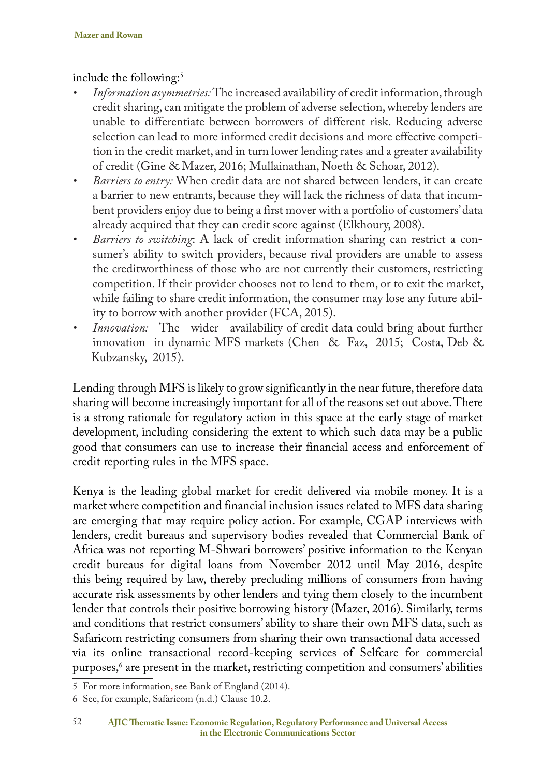include the following:<sup>5</sup>

- *• Information asymmetries:* The increased availability of credit information, through credit sharing, can mitigate the problem of adverse selection, whereby lenders are unable to differentiate between borrowers of different risk. Reducing adverse selection can lead to more informed credit decisions and more effective competition in the credit market, and in turn lower lending rates and a greater availability of credit (Gine & Mazer, 2016; Mullainathan, Noeth & Schoar, 2012).
- *• Barriers to entry:* When credit data are not shared between lenders, it can create a barrier to new entrants, because they will lack the richness of data that incumbent providers enjoy due to being a first mover with a portfolio of customers' data already acquired that they can credit score against (Elkhoury, 2008).
- *• Barriers to switching*: A lack of credit information sharing can restrict a consumer's ability to switch providers, because rival providers are unable to assess the creditworthiness of those who are not currently their customers, restricting competition. If their provider chooses not to lend to them, or to exit the market, while failing to share credit information, the consumer may lose any future ability to borrow with another provider (FCA, 2015).
- *Innovation:* The wider availability of credit data could bring about further innovation in dynamic MFS markets (Chen & Faz, 2015; Costa, Deb & Kubzansky, 2015).

Lending through MFS is likely to grow significantly in the near future, therefore data sharing will become increasingly important for all of the reasons set out above. There is a strong rationale for regulatory action in this space at the early stage of market development, including considering the extent to which such data may be a public good that consumers can use to increase their financial access and enforcement of credit reporting rules in the MFS space.

Kenya is the leading global market for credit delivered via mobile money. It is a market where competition and financial inclusion issues related to MFS data sharing are emerging that may require policy action. For example, CGAP interviews with lenders, credit bureaus and supervisory bodies revealed that Commercial Bank of Africa was not reporting M-Shwari borrowers' positive information to the Kenyan credit bureaus for digital loans from November 2012 until May 2016, despite this being required by law, thereby precluding millions of consumers from having accurate risk assessments by other lenders and tying them closely to the incumbent lender that controls their positive borrowing history (Mazer, 2016). Similarly, terms and conditions that restrict consumers' ability to share their own MFS data, such as Safaricom restricting consumers from sharing their own transactional data accessed via its online transactional record-keeping services of Selfcare for commercial purposes,<sup>6</sup> are present in the market, restricting competition and consumers' abilities

<sup>5</sup> For more information, see Bank of England (2014).

<sup>6</sup> See, for example, Safaricom (n.d.) Clause 10.2.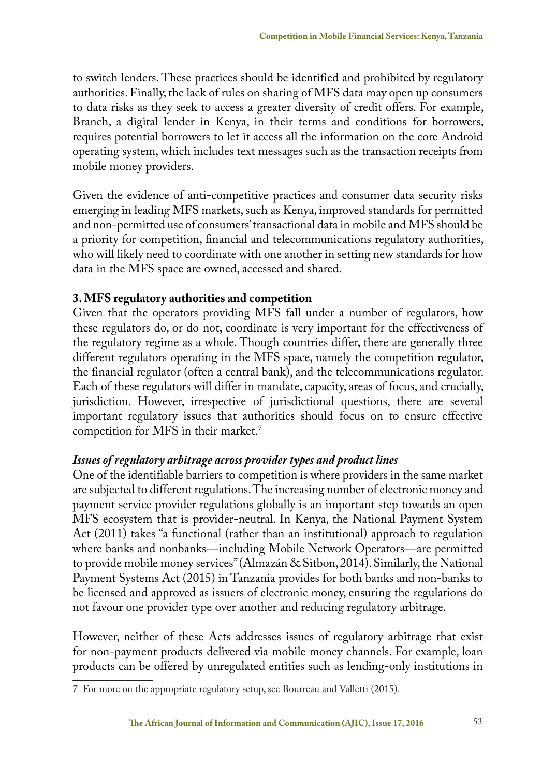to switch lenders. These practices should be identified and prohibited by regulatory authorities. Finally, the lack of rules on sharing of MFS data may open up consumers to data risks as they seek to access a greater diversity of credit offers. For example, Branch, a digital lender in Kenya, in their terms and conditions for borrowers, requires potential borrowers to let it access all the information on the core Android operating system, which includes text messages such as the transaction receipts from mobile money providers.

Given the evidence of anti-competitive practices and consumer data security risks emerging in leading MFS markets, such as Kenya, improved standards for permitted and non-permitted use of consumers' transactional data in mobile and MFS should be a priority for competition, financial and telecommunications regulatory authorities, who will likely need to coordinate with one another in setting new standards for how data in the MFS space are owned, accessed and shared.

# **3. MFS regulatory authorities and competition**

Given that the operators providing MFS fall under a number of regulators, how these regulators do, or do not, coordinate is very important for the effectiveness of the regulatory regime as a whole. Though countries differ, there are generally three different regulators operating in the MFS space, namely the competition regulator, the financial regulator (often a central bank), and the telecommunications regulator. Each of these regulators will differ in mandate, capacity, areas of focus, and crucially, jurisdiction. However, irrespective of jurisdictional questions, there are several important regulatory issues that authorities should focus on to ensure effective competition for MFS in their market.7

# *Issues of regulatory arbitrage across provider types and product lines*

One of the identifiable barriers to competition is where providers in the same market are subjected to different regulations. The increasing number of electronic money and payment service provider regulations globally is an important step towards an open MFS ecosystem that is provider-neutral. In Kenya, the National Payment System Act (2011) takes "a functional (rather than an institutional) approach to regulation where banks and nonbanks—including Mobile Network Operators—are permitted to provide mobile money services" (Almazán & Sitbon, 2014). Similarly, the National Payment Systems Act (2015) in Tanzania provides for both banks and non-banks to be licensed and approved as issuers of electronic money, ensuring the regulations do not favour one provider type over another and reducing regulatory arbitrage.

However, neither of these Acts addresses issues of regulatory arbitrage that exist for non-payment products delivered via mobile money channels. For example, loan products can be offered by unregulated entities such as lending-only institutions in

<sup>7</sup> For more on the appropriate regulatory setup, see Bourreau and Valletti (2015).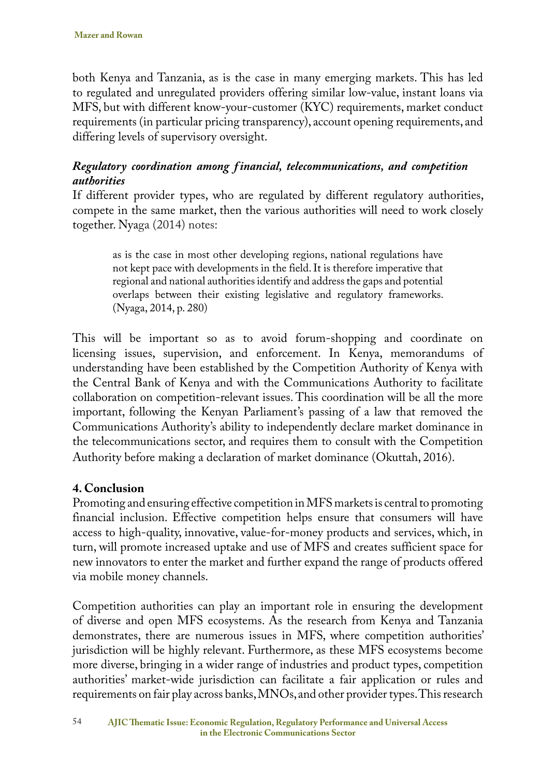both Kenya and Tanzania, as is the case in many emerging markets. This has led to regulated and unregulated providers offering similar low-value, instant loans via MFS, but with different know-your-customer (KYC) requirements, market conduct requirements (in particular pricing transparency), account opening requirements, and differing levels of supervisory oversight.

# *Regulatory coordination among f inancial, telecommunications, and competition authorities*

If different provider types, who are regulated by different regulatory authorities, compete in the same market, then the various authorities will need to work closely together. Nyaga (2014) notes:

as is the case in most other developing regions, national regulations have not kept pace with developments in the field. It is therefore imperative that regional and national authorities identify and address the gaps and potential overlaps between their existing legislative and regulatory frameworks. (Nyaga, 2014, p. 280)

This will be important so as to avoid forum-shopping and coordinate on licensing issues, supervision, and enforcement. In Kenya, memorandums of understanding have been established by the Competition Authority of Kenya with the Central Bank of Kenya and with the Communications Authority to facilitate collaboration on competition-relevant issues. This coordination will be all the more important, following the Kenyan Parliament's passing of a law that removed the Communications Authority's ability to independently declare market dominance in the telecommunications sector, and requires them to consult with the Competition Authority before making a declaration of market dominance (Okuttah, 2016).

# **4. Conclusion**

Promoting and ensuring effective competition in MFS markets is central to promoting financial inclusion. Effective competition helps ensure that consumers will have access to high-quality, innovative, value-for-money products and services, which, in turn, will promote increased uptake and use of MFS and creates sufficient space for new innovators to enter the market and further expand the range of products offered via mobile money channels.

Competition authorities can play an important role in ensuring the development of diverse and open MFS ecosystems. As the research from Kenya and Tanzania demonstrates, there are numerous issues in MFS, where competition authorities' jurisdiction will be highly relevant. Furthermore, as these MFS ecosystems become more diverse, bringing in a wider range of industries and product types, competition authorities' market-wide jurisdiction can facilitate a fair application or rules and requirements on fair play across banks, MNOs, and other provider types. This research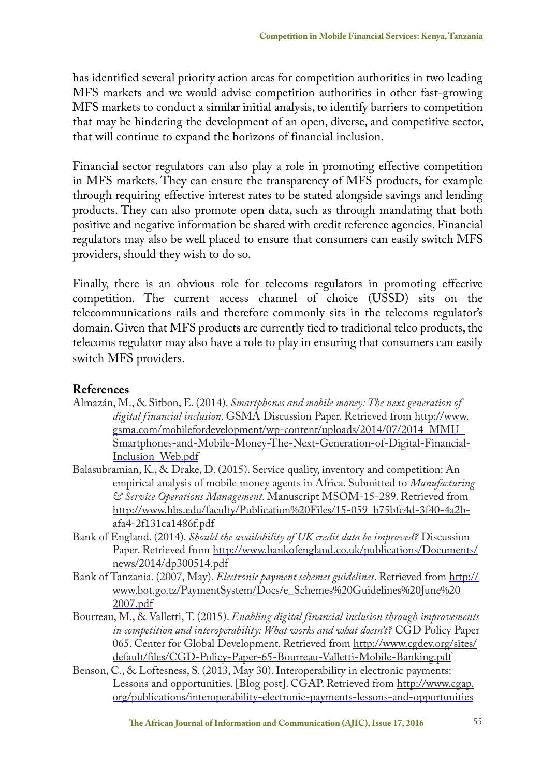has identified several priority action areas for competition authorities in two leading MFS markets and we would advise competition authorities in other fast-growing MFS markets to conduct a similar initial analysis, to identify barriers to competition that may be hindering the development of an open, diverse, and competitive sector, that will continue to expand the horizons of financial inclusion.

Financial sector regulators can also play a role in promoting effective competition in MFS markets. They can ensure the transparency of MFS products, for example through requiring effective interest rates to be stated alongside savings and lending products. They can also promote open data, such as through mandating that both positive and negative information be shared with credit reference agencies. Financial regulators may also be well placed to ensure that consumers can easily switch MFS providers, should they wish to do so.

Finally, there is an obvious role for telecoms regulators in promoting effective competition. The current access channel of choice (USSD) sits on the telecommunications rails and therefore commonly sits in the telecoms regulator's domain. Given that MFS products are currently tied to traditional telco products, the telecoms regulator may also have a role to play in ensuring that consumers can easily switch MFS providers.

## **References**

- Almazán, M., & Sitbon, E. (2014). *Smartphones and mobile money: The next generation of digital financial inclusion*. GSMA Discussion Paper. Retrieved from http://www. gsma.com/mobilefordevelopment/wp-content/uploads/2014/07/2014\_MMU\_ Smartphones-and-Mobile-Money-The-Next-Generation-of-Digital-Financial-Inclusion\_Web.pdf
- Balasubramian, K., & Drake, D. (2015). Service quality, inventory and competition: An empirical analysis of mobile money agents in Africa. Submitted to *Manufacturing & Service Operations Management.* Manuscript MSOM-15-289. Retrieved from http://www.hbs.edu/faculty/Publication%20Files/15-059\_b75bfc4d-3f40-4a2bafa4-2f131ca1486f.pdf
- Bank of England. (2014). *Should the availability of UK credit data be improved?* Discussion Paper. Retrieved from http://www.bankofengland.co.uk/publications/Documents/ news/2014/dp300514.pdf
- Bank of Tanzania. (2007, May). *Electronic payment schemes guidelines*. Retrieved from http:// www.bot.go.tz/PaymentSystem/Docs/e\_Schemes%20Guidelines%20June%20 2007.pdf
- Bourreau, M., & Valletti, T. (2015). *Enabling digital financial inclusion through improvements in competition and interoperability: What works and what doesn't?* CGD Policy Paper 065. Center for Global Development. Retrieved from http://www.cgdev.org/sites/ default/files/CGD-Policy-Paper-65-Bourreau-Valletti-Mobile-Banking.pdf
- Benson, C., & Loftesness, S. (2013, May 30). Interoperability in electronic payments: Lessons and opportunities. [Blog post]. CGAP. Retrieved from http://www.cgap. org/publications/interoperability-electronic-payments-lessons-and-opportunities

**The African Journal of Information and Communication (AJIC), Issue 17, 2016** 55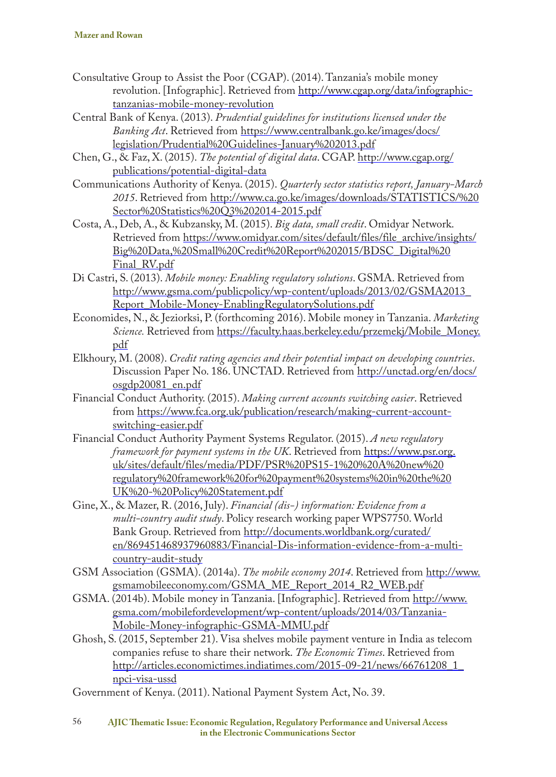- Consultative Group to Assist the Poor (CGAP). (2014). Tanzania's mobile money revolution. [Infographic]. Retrieved from http://www.cgap.org/data/infographictanzanias-mobile-money-revolution
- Central Bank of Kenya. (2013). *Prudential guidelines for institutions licensed under the Banking Act*. Retrieved from https://www.centralbank.go.ke/images/docs/ legislation/Prudential%20Guidelines-January%202013.pdf
- Chen, G., & Faz, X. (2015). *The potential of digital data*. CGAP. http://www.cgap.org/ publications/potential-digital-data
- Communications Authority of Kenya. (2015). *Quarterly sector statistics report, January-March 2015*. Retrieved from http://www.ca.go.ke/images/downloads/STATISTICS/%20 Sector%20Statistics%20Q3%202014-2015.pdf
- Costa, A., Deb, A., & Kubzansky, M. (2015). *Big data, small credit*. Omidyar Network. Retrieved from https://www.omidyar.com/sites/default/files/file\_archive/insights/ Big%20Data,%20Small%20Credit%20Report%202015/BDSC\_Digital%20 Final\_RV.pdf
- Di Castri, S. (2013). *Mobile money: Enabling regulatory solutions*. GSMA. Retrieved from http://www.gsma.com/publicpolicy/wp-content/uploads/2013/02/GSMA2013\_ Report\_Mobile-Money-EnablingRegulatorySolutions.pdf
- Economides, N., & Jeziorksi, P. (forthcoming 2016). Mobile money in Tanzania. *Marketing Science.* Retrieved from https://faculty.haas.berkeley.edu/przemekj/Mobile\_Money. pdf
- Elkhoury, M. (2008). *Credit rating agencies and their potential impact on developing countries*. Discussion Paper No. 186. UNCTAD. Retrieved from http://unctad.org/en/docs/ osgdp20081\_en.pdf
- Financial Conduct Authority. (2015). *Making current accounts switching easier*. Retrieved from https://www.fca.org.uk/publication/research/making-current-accountswitching-easier.pdf
- Financial Conduct Authority Payment Systems Regulator. (2015). *A new regulatory framework for payment systems in the UK*. Retrieved from https://www.psr.org. uk/sites/default/files/media/PDF/PSR%20PS15-1%20%20A%20new%20 regulatory%20framework%20for%20payment%20systems%20in%20the%20 UK%20-%20Policy%20Statement.pdf
- Gine, X., & Mazer, R. (2016, July). *Financial (dis-) information: Evidence from a multi-country audit study*. Policy research working paper WPS7750. World Bank Group. Retrieved from http://documents.worldbank.org/curated/ en/869451468937960883/Financial-Dis-information-evidence-from-a-multicountry-audit-study
- GSM Association (GSMA). (2014a). *The mobile economy 2014*. Retrieved from http://www. gsmamobileeconomy.com/GSMA\_ME\_Report\_2014\_R2\_WEB.pdf
- GSMA. (2014b). Mobile money in Tanzania. [Infographic]. Retrieved from http://www. gsma.com/mobilefordevelopment/wp-content/uploads/2014/03/Tanzania-Mobile-Money-infographic-GSMA-MMU.pdf
- Ghosh, S. (2015, September 21). Visa shelves mobile payment venture in India as telecom companies refuse to share their network. *The Economic Times*. Retrieved from http://articles.economictimes.indiatimes.com/2015-09-21/news/66761208\_1\_ npci-visa-ussd
- Government of Kenya. (2011). National Payment System Act, No. 39.

56 **AJIC Thematic Issue: Economic Regulation, Regulatory Performance and Universal Access in the Electronic Communications Sector**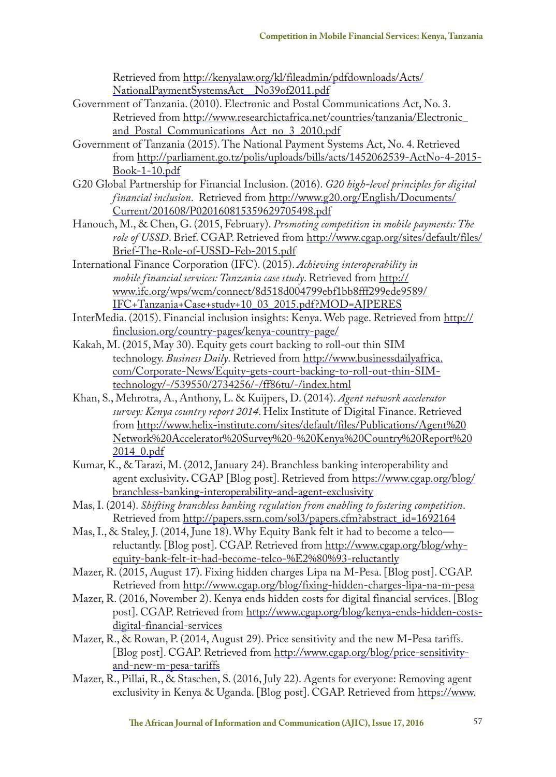Retrieved from http://kenyalaw.org/kl/fileadmin/pdfdownloads/Acts/ NationalPaymentSystemsAct\_\_No39of2011.pdf

- Government of Tanzania. (2010). Electronic and Postal Communications Act, No. 3. Retrieved from http://www.researchictafrica.net/countries/tanzania/Electronic\_ and Postal Communications Act no 3 2010.pdf
- Government of Tanzania (2015). The National Payment Systems Act, No. 4. Retrieved from http://parliament.go.tz/polis/uploads/bills/acts/1452062539-ActNo-4-2015- Book-1-10.pdf
- G20 Global Partnership for Financial Inclusion. (2016). *G20 high-level principles for digital financial inclusion*. Retrieved from http://www.g20.org/English/Documents/ Current/201608/P020160815359629705498.pdf
- Hanouch, M., & Chen, G. (2015, February). *Promoting competition in mobile payments: The role of USSD*. Brief. CGAP. Retrieved from http://www.cgap.org/sites/default/files/ Brief-The-Role-of-USSD-Feb-2015.pdf
- International Finance Corporation (IFC). (2015). *Achieving interoperability in mobile financial services: Tanzania case study*. Retrieved from http:// www.ifc.org/wps/wcm/connect/8d518d004799ebf1bb8fff299ede9589/ IFC+Tanzania+Case+study+10\_03\_2015.pdf?MOD=AJPERES
- InterMedia. (2015). Financial inclusion insights: Kenya. Web page. Retrieved from http:// finclusion.org/country-pages/kenya-country-page/
- Kakah, M. (2015, May 30). Equity gets court backing to roll-out thin SIM technology. *Business Daily*. Retrieved from http://www.businessdailyafrica. com/Corporate-News/Equity-gets-court-backing-to-roll-out-thin-SIMtechnology/-/539550/2734256/-/ff86tu/-/index.html
- Khan, S., Mehrotra, A., Anthony, L. & Kuijpers, D. (2014). *Agent network accelerator survey: Kenya country report 2014*. Helix Institute of Digital Finance. Retrieved from http://www.helix-institute.com/sites/default/files/Publications/Agent%20 Network%20Accelerator%20Survey%20-%20Kenya%20Country%20Report%20 2014\_0.pdf
- Kumar, K., & Tarazi, M. (2012, January 24). Branchless banking interoperability and agent exclusivity**.** CGAP [Blog post]. Retrieved from https://www.cgap.org/blog/ branchless-banking-interoperability-and-agent-exclusivity
- Mas, I. (2014). *Shifting branchless banking regulation from enabling to fostering competition*. Retrieved from http://papers.ssrn.com/sol3/papers.cfm?abstract\_id=1692164
- Mas, I., & Staley, J. (2014, June 18). Why Equity Bank felt it had to become a telco reluctantly. [Blog post]. CGAP. Retrieved from http://www.cgap.org/blog/whyequity-bank-felt-it-had-become-telco-%E2%80%93-reluctantly
- Mazer, R. (2015, August 17). Fixing hidden charges Lipa na M-Pesa. [Blog post]. CGAP. Retrieved from http://www.cgap.org/blog/fixing-hidden-charges-lipa-na-m-pesa
- Mazer, R. (2016, November 2). Kenya ends hidden costs for digital financial services. [Blog post]. CGAP. Retrieved from http://www.cgap.org/blog/kenya-ends-hidden-costsdigital-financial-services
- Mazer, R., & Rowan, P. (2014, August 29). Price sensitivity and the new M-Pesa tariffs. [Blog post]. CGAP. Retrieved from http://www.cgap.org/blog/price-sensitivityand-new-m-pesa-tariffs
- Mazer, R., Pillai, R., & Staschen, S. (2016, July 22). Agents for everyone: Removing agent exclusivity in Kenya & Uganda. [Blog post]. CGAP. Retrieved from https://www.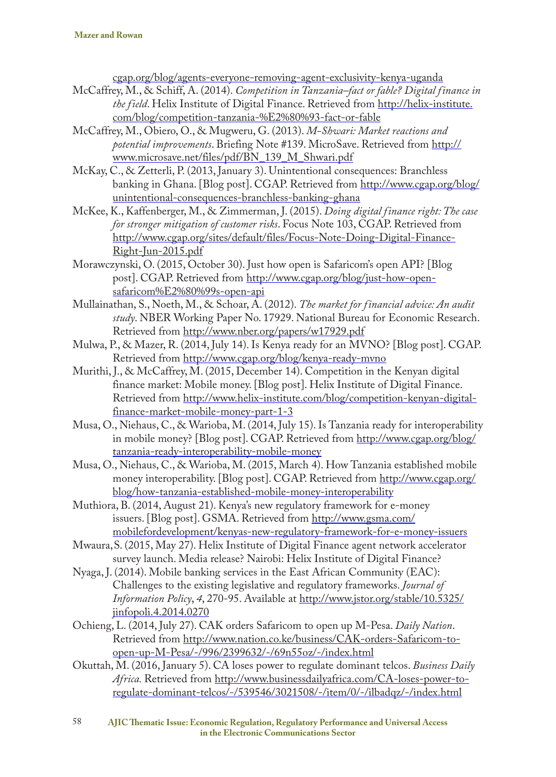cgap.org/blog/agents-everyone-removing-agent-exclusivity-kenya-uganda

- McCaffrey, M., & Schiff, A. (2014). *Competition in Tanzania–fact or fable? Digital finance in the field*. Helix Institute of Digital Finance. Retrieved from http://helix-institute. com/blog/competition-tanzania-%E2%80%93-fact-or-fable
- McCaffrey, M., Obiero, O., & Mugweru, G. (2013). *M-Shwari: Market reactions and potential improvements*. Briefing Note #139. MicroSave. Retrieved from http:// www.microsave.net/files/pdf/BN\_139\_M\_Shwari.pdf
- McKay, C., & Zetterli, P. (2013, January 3). Unintentional consequences: Branchless banking in Ghana. [Blog post]. CGAP. Retrieved from http://www.cgap.org/blog/ unintentional-consequences-branchless-banking-ghana
- McKee, K., Kaffenberger, M., & Zimmerman, J. (2015). *Doing digital finance right: The case for stronger mitigation of customer risks*. Focus Note 103, CGAP. Retrieved from http://www.cgap.org/sites/default/files/Focus-Note-Doing-Digital-Finance-Right-Jun-2015.pdf
- Morawczynski, O. (2015, October 30). Just how open is Safaricom's open API? [Blog post]. CGAP. Retrieved from http://www.cgap.org/blog/just-how-opensafaricom%E2%80%99s-open-api
- Mullainathan, S., Noeth, M., & Schoar, A. (2012). *The market for financial advice: An audit study*. NBER Working Paper No. 17929. National Bureau for Economic Research. Retrieved from http://www.nber.org/papers/w17929.pdf
- Mulwa, P., & Mazer, R. (2014, July 14). Is Kenya ready for an MVNO? [Blog post]. CGAP. Retrieved from http://www.cgap.org/blog/kenya-ready-mvno
- Murithi, J., & McCaffrey, M. (2015, December 14). Competition in the Kenyan digital finance market: Mobile money. [Blog post]. Helix Institute of Digital Finance. Retrieved from http://www.helix-institute.com/blog/competition-kenyan-digitalfinance-market-mobile-money-part-1-3
- Musa, O., Niehaus, C., & Warioba, M. (2014, July 15). Is Tanzania ready for interoperability in mobile money? [Blog post]. CGAP. Retrieved from http://www.cgap.org/blog/ tanzania-ready-interoperability-mobile-money
- Musa, O., Niehaus, C., & Warioba, M. (2015, March 4). How Tanzania established mobile money interoperability. [Blog post]. CGAP. Retrieved from http://www.cgap.org/ blog/how-tanzania-established-mobile-money-interoperability
- Muthiora, B. (2014, August 21). Kenya's new regulatory framework for e-money issuers. [Blog post]. GSMA. Retrieved from http://www.gsma.com/ mobilefordevelopment/kenyas-new-regulatory-framework-for-e-money-issuers
- Mwaura,S. (2015, May 27). Helix Institute of Digital Finance agent network accelerator survey launch. Media release? Nairobi: Helix Institute of Digital Finance?
- Nyaga, J. (2014). Mobile banking services in the East African Community (EAC): Challenges to the existing legislative and regulatory frameworks. *Journal of Information Policy*, *4*, 270-95. Available at http://www.jstor.org/stable/10.5325/ jinfopoli.4.2014.0270
- Ochieng, L. (2014, July 27). CAK orders Safaricom to open up M-Pesa. *Daily Nation*. Retrieved from http://www.nation.co.ke/business/CAK-orders-Safaricom-toopen-up-M-Pesa/-/996/2399632/-/69n55oz/-/index.html
- Okuttah, M. (2016, January 5). CA loses power to regulate dominant telcos. *Business Daily Africa.* Retrieved from http://www.businessdailyafrica.com/CA-loses-power-toregulate-dominant-telcos/-/539546/3021508/-/item/0/-/ilbadqz/-/index.html

58 **AJIC Thematic Issue: Economic Regulation, Regulatory Performance and Universal Access in the Electronic Communications Sector**